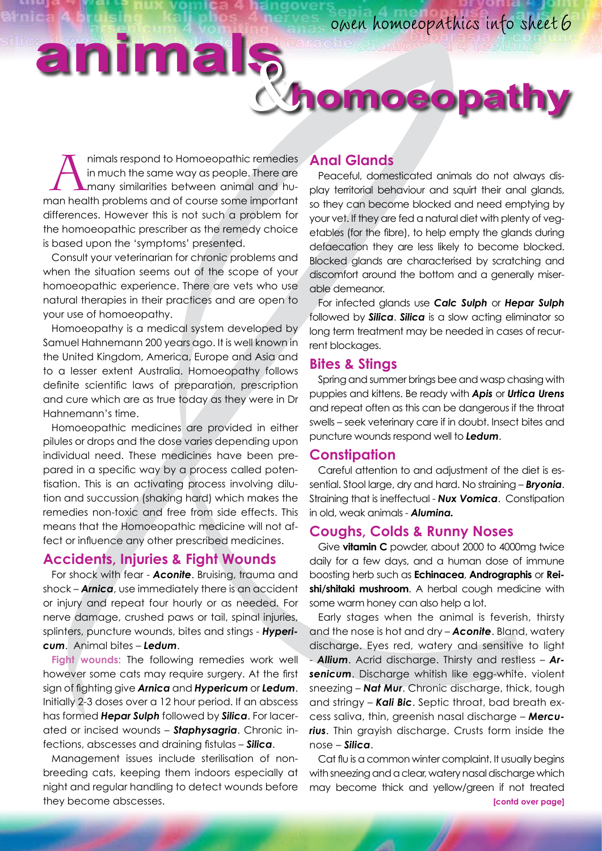# **animals**&**homoeopathy**

Alaimals respond to Homoeopathic remedies<br>in much the same way as people. There are<br>many similarities between animal and hu-<br>can bealth problems and of Course some important in much the same way as people. There are many similarities between animal and human health problems and of course some important differences. However this is not such a problem for the homoeopathic prescriber as the remedy choice is based upon the 'symptoms' presented.

Consult your veterinarian for chronic problems and when the situation seems out of the scope of your homoeopathic experience. There are vets who use natural therapies in their practices and are open to your use of homoeopathy.

Homoeopathy is a medical system developed by Samuel Hahnemann 200 years ago. It is well known in the United Kingdom, America, Europe and Asia and to a lesser extent Australia. Homoeopathy follows definite scientific laws of preparation, prescription and cure which are as true today as they were in Dr Hahnemann's time.

Homoeopathic medicines are provided in either pilules or drops and the dose varies depending upon individual need. These medicines have been prepared in a specific way by a process called potentisation. This is an activating process involving dilution and succussion (shaking hard) which makes the remedies non-toxic and free from side effects. This means that the Homoeopathic medicine will not affect or influence any other prescribed medicines.

# **Accidents, Injuries & Fight Wounds**

For shock with fear - *Aconite*. Bruising, trauma and shock – *Arnica*, use immediately there is an accident or injury and repeat four hourly or as needed. For nerve damage, crushed paws or tail, spinal injuries, splinters, puncture wounds, bites and stings - *Hypericum*. Animal bites – *Ledum*.

**Fight wounds:** The following remedies work well however some cats may require surgery. At the first sign of fighting give *Arnica* and *Hypericum* or *Ledum*. Initially 2-3 doses over a 12 hour period. If an abscess has formed *Hepar Sulph* followed by *Silica*. For lacerated or incised wounds – *Staphysagria*. Chronic infections, abscesses and draining fistulas – *Silica*.

Management issues include sterilisation of nonbreeding cats, keeping them indoors especially at night and regular handling to detect wounds before they become abscesses.

## **Anal Glands**

Peaceful, domesticated animals do not always display territorial behaviour and squirt their anal glands, so they can become blocked and need emptying by your vet. If they are fed a natural diet with plenty of vegetables (for the fibre), to help empty the glands during defaecation they are less likely to become blocked. Blocked glands are characterised by scratching and discomfort around the bottom and a generally miserable demeanor.

For infected glands use *Calc Sulph* or *Hepar Sulph* followed by *Silica*. *Silica* is a slow acting eliminator so long term treatment may be needed in cases of recurrent blockages.

# **Bites & Stings**

Spring and summer brings bee and wasp chasing with puppies and kittens. Be ready with *Apis* or *Urtica Urens* and repeat often as this can be dangerous if the throat swells – seek veterinary care if in doubt. Insect bites and puncture wounds respond well to *Ledum*.

#### **Constipation**

Careful attention to and adjustment of the diet is essential. Stool large, dry and hard. No straining – *Bryonia*. Straining that is ineffectual - *Nux Vomica*. Constipation in old, weak animals - *Alumina.*

# **Coughs, Colds & Runny Noses**

Give **vitamin C** powder, about 2000 to 4000mg twice daily for a few days, and a human dose of immune boosting herb such as **Echinacea**, **Andrographis** or **Reishi/shitaki mushroom**. A herbal cough medicine with some warm honey can also help a lot.

Early stages when the animal is feverish, thirsty and the nose is hot and dry – *Aconite*. Bland, watery discharge. Eyes red, watery and sensitive to light - *Allium*. Acrid discharge. Thirsty and restless – *Arsenicum*. Discharge whitish like egg-white. violent sneezing – *Nat Mur*. Chronic discharge, thick, tough and stringy – *Kali Bic*. Septic throat, bad breath excess saliva, thin, greenish nasal discharge – *Mercurius*. Thin grayish discharge. Crusts form inside the nose – *Silica*.

Cat flu is a common winter complaint. It usually begins with sneezing and a clear, watery nasal discharge which may become thick and yellow/green if not treated **[contd over page]**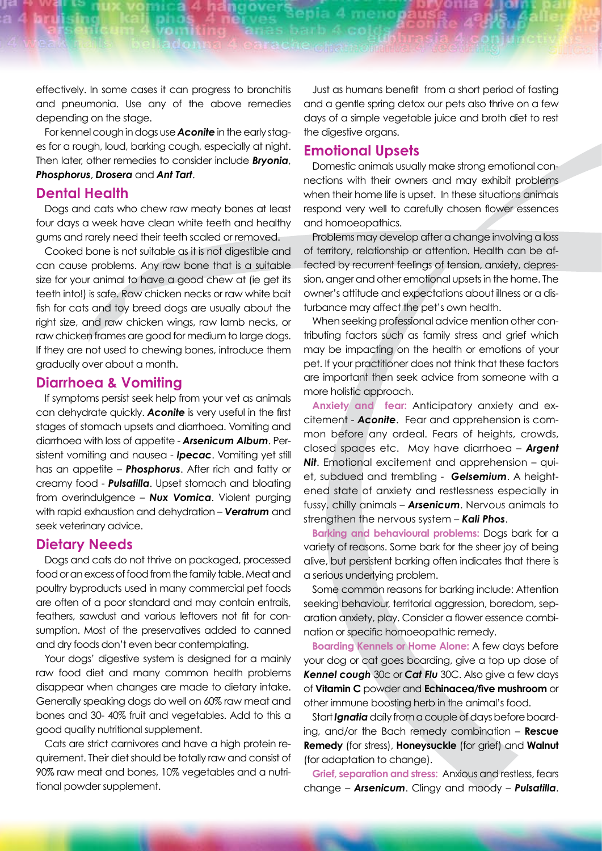effectively. In some cases it can progress to bronchitis and pneumonia. Use any of the above remedies depending on the stage.

For kennel cough in dogs use *Aconite* in the early stages for a rough, loud, barking cough, especially at night. Then later, other remedies to consider include *Bryonia*, *Phosphorus*, *Drosera* and *Ant Tart*.

### **Dental Health**

Dogs and cats who chew raw meaty bones at least four days a week have clean white teeth and healthy gums and rarely need their teeth scaled or removed.

Cooked bone is not suitable as it is not digestible and can cause problems. Any raw bone that is a suitable size for your animal to have a good chew at (ie get its teeth into!) is safe. Raw chicken necks or raw white bait fish for cats and toy breed dogs are usually about the right size, and raw chicken wings, raw lamb necks, or raw chicken frames are good for medium to large dogs. If they are not used to chewing bones, introduce them gradually over about a month.

# **Diarrhoea & Vomiting**

If symptoms persist seek help from your vet as animals can dehydrate quickly. *Aconite* is very useful in the first stages of stomach upsets and diarrhoea. Vomiting and diarrhoea with loss of appetite - *Arsenicum Album*. Persistent vomiting and nausea - *Ipecac*. Vomiting yet still has an appetite – *Phosphorus*. After rich and fatty or creamy food - *Pulsatilla*. Upset stomach and bloating from overindulgence – *Nux Vomica*. Violent purging with rapid exhaustion and dehydration – *Veratrum* and seek veterinary advice.

# **Dietary Needs**

Dogs and cats do not thrive on packaged, processed food or an excess of food from the family table. Meat and poultry byproducts used in many commercial pet foods are often of a poor standard and may contain entrails, feathers, sawdust and various leftovers not fit for consumption. Most of the preservatives added to canned and dry foods don't even bear contemplating.

Your dogs' digestive system is designed for a mainly raw food diet and many common health problems disappear when changes are made to dietary intake. Generally speaking dogs do well on 60% raw meat and bones and 30- 40% fruit and vegetables. Add to this a good quality nutritional supplement.

Cats are strict carnivores and have a high protein requirement. Their diet should be totally raw and consist of 90% raw meat and bones, 10% vegetables and a nutritional powder supplement.

Just as humans benefit from a short period of fasting and a gentle spring detox our pets also thrive on a few days of a simple vegetable juice and broth diet to rest the digestive organs.

# **Emotional Upsets**

Domestic animals usually make strong emotional connections with their owners and may exhibit problems when their home life is upset. In these situations animals respond very well to carefully chosen flower essences and homoeopathics.

Problems may develop after a change involving a loss of territory, relationship or attention. Health can be affected by recurrent feelings of tension, anxiety, depression, anger and other emotional upsets in the home. The owner's attitude and expectations about illness or a disturbance may affect the pet's own health.

When seeking professional advice mention other contributing factors such as family stress and grief which may be impacting on the health or emotions of your pet. If your practitioner does not think that these factors are important then seek advice from someone with a more holistic approach.

**Anxiety and fear:** Anticipatory anxiety and excitement - *Aconite*. Fear and apprehension is common before any ordeal. Fears of heights, crowds, closed spaces etc. May have diarrhoea – *Argent*  **Nit.** Emotional excitement and apprehension – quiet, subdued and trembling - *Gelsemium*. A heightened state of anxiety and restlessness especially in fussy, chilly animals – *Arsenicum*. Nervous animals to strengthen the nervous system – *Kali Phos*.

**Barking and behavioural problems:** Dogs bark for a variety of reasons. Some bark for the sheer joy of being alive, but persistent barking often indicates that there is a serious underlying problem.

Some common reasons for barking include: Attention seeking behaviour, territorial aggression, boredom, separation anxiety, play. Consider a flower essence combination or specific homoeopathic remedy.

**Boarding Kennels or Home Alone:** A few days before your dog or cat goes boarding, give a top up dose of *Kennel cough* 30c or *Cat Flu* 30C. Also give a few days of **Vitamin C** powder and **Echinacea/five mushroom** or other immune boosting herb in the animal's food.

Start *Ignatia* daily from a couple of days before boarding, and/or the Bach remedy combination – **Rescue Remedy** (for stress), **Honeysuckle** (for grief) and **Walnut**  (for adaptation to change).

**Grief, separation and stress:** Anxious and restless, fears change – *Arsenicum*. Clingy and moody – *Pulsatilla*.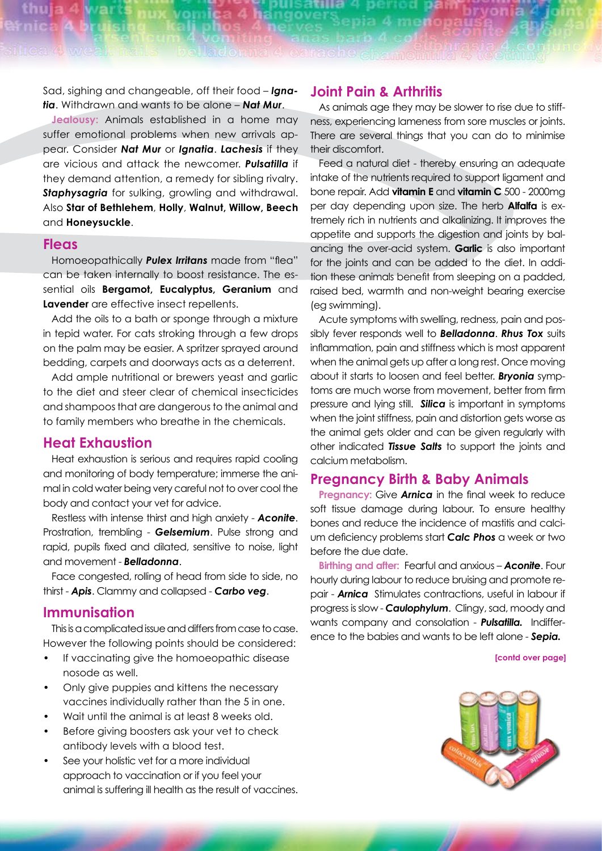Sad, sighing and changeable, off their food – *Ignatia*. Withdrawn and wants to be alone – *Nat Mur*.

**Jealousy:** Animals established in a home may suffer emotional problems when new arrivals appear. Consider *Nat Mur* or *Ignatia*. *Lachesis* if they are vicious and attack the newcomer. *Pulsatilla* if they demand attention, a remedy for sibling rivalry. **Staphysagria** for sulking, growling and withdrawal. Also **Star of Bethlehem**, **Holly**, **Walnut, Willow, Beech** and **Honeysuckle**.

#### **Fleas**

Homoeopathically *Pulex Irritans* made from "flea" can be taken internally to boost resistance. The essential oils **Bergamot, Eucalyptus, Geranium** and **Lavender** are effective insect repellents.

Add the oils to a bath or sponge through a mixture in tepid water. For cats stroking through a few drops on the palm may be easier. A spritzer sprayed around bedding, carpets and doorways acts as a deterrent.

Add ample nutritional or brewers yeast and garlic to the diet and steer clear of chemical insecticides and shampoos that are dangerous to the animal and to family members who breathe in the chemicals.

# **Heat Exhaustion**

Heat exhaustion is serious and requires rapid cooling and monitoring of body temperature; immerse the animal in cold water being very careful not to over cool the body and contact your vet for advice.

Restless with intense thirst and high anxiety - *Aconite*. Prostration, trembling - *Gelsemium*. Pulse strong and rapid, pupils fixed and dilated, sensitive to noise, light and movement - *Belladonna*.

Face congested, rolling of head from side to side, no thirst - *Apis*. Clammy and collapsed - *Carbo veg*.

#### **Immunisation**

This is a complicated issue and differs from case to case. However the following points should be considered:

- If vaccinating give the homoeopathic disease nosode as well.
- Only give puppies and kittens the necessary vaccines individually rather than the 5 in one.
- Wait until the animal is at least 8 weeks old.
- Before giving boosters ask your vet to check antibody levels with a blood test.
- See your holistic vet for a more individual approach to vaccination or if you feel your animal is suffering ill health as the result of vaccines.

#### **Joint Pain & Arthritis**

As animals age they may be slower to rise due to stiffness, experiencing lameness from sore muscles or joints. There are several things that you can do to minimise their discomfort.

Feed a natural diet - thereby ensuring an adequate intake of the nutrients required to support ligament and bone repair. Add **vitamin E** and **vitamin C** 500 - 2000mg per day depending upon size. The herb **Alfalfa** is extremely rich in nutrients and alkalinizing. It improves the appetite and supports the digestion and joints by balancing the over-acid system. **Garlic** is also important for the joints and can be added to the diet. In addition these animals benefit from sleeping on a padded, raised bed, warmth and non-weight bearing exercise (eg swimming).

Acute symptoms with swelling, redness, pain and possibly fever responds well to *Belladonna*. *Rhus Tox* suits inflammation, pain and stiffness which is most apparent when the animal gets up after a long rest. Once moving about it starts to loosen and feel better. *Bryonia* symptoms are much worse from movement, better from firm pressure and lying still. *Silica* is important in symptoms when the joint stiffness, pain and distortion gets worse as the animal gets older and can be given regularly with other indicated *Tissue Salts* to support the joints and calcium metabolism.

#### **Pregnancy Birth & Baby Animals**

**Pregnancy:** Give *Arnica* in the final week to reduce soft tissue damage during labour. To ensure healthy bones and reduce the incidence of mastitis and calcium deficiency problems start *Calc Phos* a week or two before the due date.

**Birthing and after:** Fearful and anxious – *Aconite*. Four hourly during labour to reduce bruising and promote repair - *Arnica* Stimulates contractions, useful in labour if progress is slow - *Caulophylum*. Clingy, sad, moody and wants company and consolation - *Pulsatilla.* Indifference to the babies and wants to be left alone - *Sepia.* 

**[contd over page]**

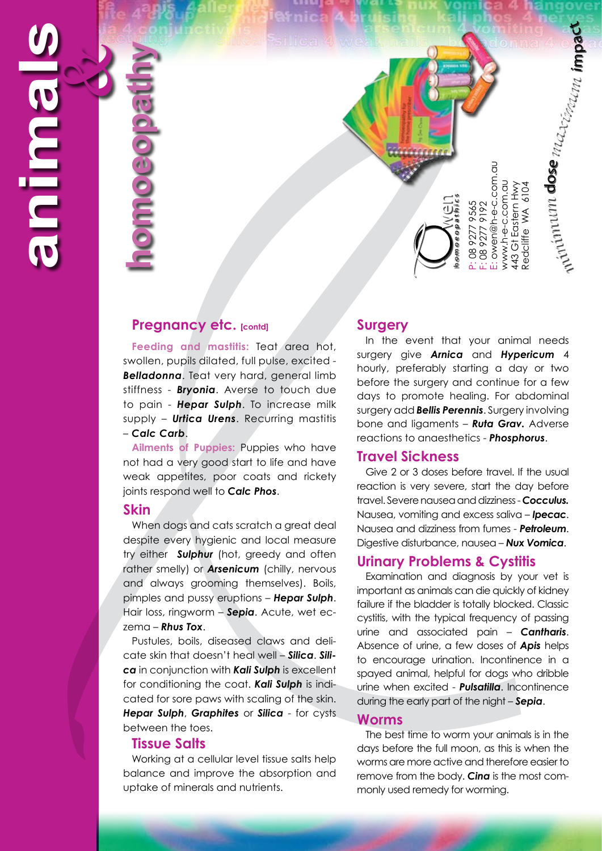**homoeopathy Ciuscrip** 

# **Pregnancy etc. [contd]**

Feeding and mastitis: Teat area hot, swollen, pupils dilated, full pulse, excited - *Belladonna*. Teat very hard, general limb stiffness - *Bryonia*. Averse to touch due to pain - *Hepar Sulph*. To increase milk supply – *Urtica Urens*. Recurring mastitis – *Calc Carb*.

**Ailments of Puppies:** Puppies who have not had a very good start to life and have weak appetites, poor coats and rickety joints respond well to *Calc Phos*.

#### **Skin**

When dogs and cats scratch a great deal despite every hygienic and local measure try either *Sulphur* (hot, greedy and often rather smelly) or *Arsenicum* (chilly, nervous and always grooming themselves). Boils, pimples and pussy eruptions – *Hepar Sulph*. Hair loss, ringworm – *Sepia*. Acute, wet eczema – *Rhus Tox*.

Pustules, boils, diseased claws and delicate skin that doesn't heal well – *Silica*. *Silica* in conjunction with *Kali Sulph* is excellent for conditioning the coat. *Kali Sulph* is indicated for sore paws with scaling of the skin. *Hepar Sulph*, *Graphites* or *Silica* - for cysts between the toes.

#### **Tissue Salts**

Working at a cellular level tissue salts help balance and improve the absorption and uptake of minerals and nutrients.

#### **Surgery**

In the event that your animal needs surgery give *Arnica* and *Hypericum* 4 hourly, preferably starting a day or two before the surgery and continue for a few days to promote healing. For abdominal surgery add *Bellis Perennis*. Surgery involving bone and ligaments – *Ruta Grav.* Adverse reactions to anaesthetics - *Phosphorus*.

*m ni mi*

*maximum* im

 $\Omega$ a  $\mathbf c$ 

*um* d o se

#### **Travel Sickness**

Give 2 or 3 doses before travel. If the usual reaction is very severe, start the day before travel. Severe nausea and dizziness - *Cocculus.*  Nausea, vomiting and excess saliva – *Ipecac*. Nausea and dizziness from fumes - *Petroleum*. Digestive disturbance, nausea – *Nux Vomica*.

#### **Urinary Problems & Cystitis**

Examination and diagnosis by your vet is important as animals can die quickly of kidney failure if the bladder is totally blocked. Classic cystitis, with the typical frequency of passing urine and associated pain – *Cantharis*. Absence of urine, a few doses of *Apis* helps to encourage urination. Incontinence in a spayed animal, helpful for dogs who dribble urine when excited - *Pulsatilla*. Incontinence during the early part of the night – *Sepia*. monly used remedy for worming and and and the section of the monly used remember of whom the exist of the section of the same of the same of the same of the same of the same of the same of the same of the same of the same

#### **Worms**

The best time to worm your animals is in the days before the full moon, as this is when the worms are more active and therefore easier to remove from the body. *Cina* is the most com-